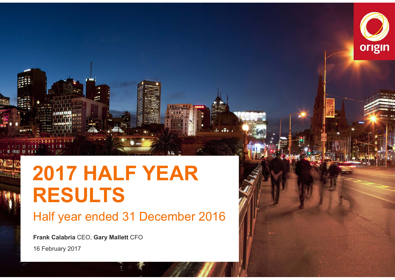

# **2017 HALF YEAR RESULTS**

## Half year ended 31 December 2016

**Origin Energy |** 2017 Half Year Results Announcement 1

 $.5.$ 

**Frank Calabria** CEO, **Gary Mallett** CFO

16 February 2017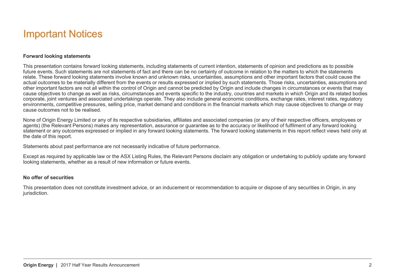#### Important Notices

#### **Forward looking statements**

This presentation contains forward looking statements, including statements of current intention, statements of opinion and predictions as to possible future events. Such statements are not statements of fact and there can be no certainty of outcome in relation to the matters to which the statements relate. These forward looking statements involve known and unknown risks, uncertainties, assumptions and other important factors that could cause the actual outcomes to be materially different from the events or results expressed or implied by such statements. Those risks, uncertainties, assumptions and other important factors are not all within the control of Origin and cannot be predicted by Origin and include changes in circumstances or events that may cause objectives to change as well as risks, circumstances and events specific to the industry, countries and markets in which Origin and its related bodies corporate, joint ventures and associated undertakings operate. They also include general economic conditions, exchange rates, interest rates, regulatory environments, competitive pressures, selling price, market demand and conditions in the financial markets which may cause objectives to change or may cause outcomes not to be realised.

None of Origin Energy Limited or any of its respective subsidiaries, affiliates and associated companies (or any of their respective officers, employees or agents) (the Relevant Persons) makes any representation, assurance or guarantee as to the accuracy or likelihood of fulfilment of any forward looking statement or any outcomes expressed or implied in any forward looking statements. The forward looking statements in this report reflect views held only at the date of this report.

Statements about past performance are not necessarily indicative of future performance.

Except as required by applicable law or the ASX Listing Rules, the Relevant Persons disclaim any obligation or undertaking to publicly update any forward looking statements, whether as a result of new information or future events.

#### **No offer of securities**

This presentation does not constitute investment advice, or an inducement or recommendation to acquire or dispose of any securities in Origin, in any jurisdiction.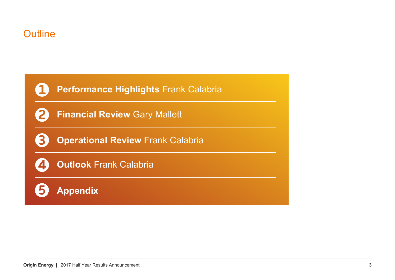#### Outline

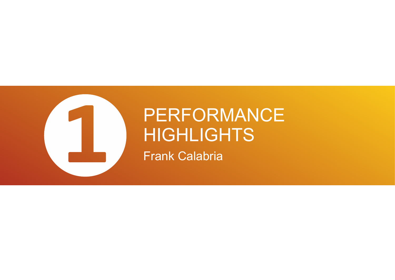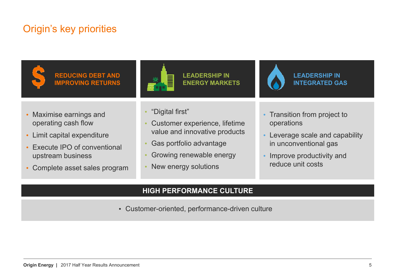#### Origin's key priorities



**REDUCING DEBT AND IMPROVING RETURNS**



**LEADERSHIP IN ENERGY MARKETS**



**LEADERSHIP IN INTEGRATED GAS**

- Maximise earnings and operating cash flow
- Limit capital expenditure
- Execute IPO of conventional upstream business
- Complete asset sales program
- •"Digital first"
- • Customer experience, lifetime value and innovative products
- •Gas portfolio advantage
- •Growing renewable energy
- •New energy solutions
- Transition from project to operations
- Leverage scale and capability in unconventional gas
- • Improve productivity and reduce unit costs

#### **HIGH PERFORMANCE CULTURE**

• Customer-oriented, performance-driven culture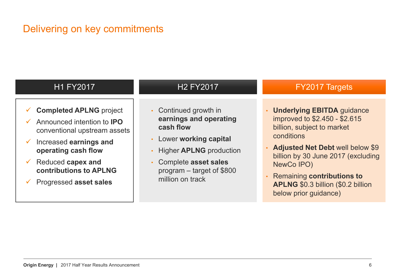## Delivering on key commitments

| <b>H1 FY2017</b>                                                                                                                                                                                                                                                              | <b>H2 FY2017</b>                                                                                                                                                                                | <b>FY2017 Targets</b>                                                                                                                                                                                                                                                                                        |
|-------------------------------------------------------------------------------------------------------------------------------------------------------------------------------------------------------------------------------------------------------------------------------|-------------------------------------------------------------------------------------------------------------------------------------------------------------------------------------------------|--------------------------------------------------------------------------------------------------------------------------------------------------------------------------------------------------------------------------------------------------------------------------------------------------------------|
| <b>Completed APLNG project</b><br>Announced intention to <b>IPO</b><br>$\checkmark$<br>conventional upstream assets<br>Increased earnings and<br>$\checkmark$<br>operating cash flow<br>Reduced capex and<br>$\checkmark$<br>contributions to APLNG<br>Progressed asset sales | • Continued growth in<br>earnings and operating<br>cash flow<br>• Lower working capital<br>• Higher APLNG production<br>• Complete asset sales<br>program – target of \$800<br>million on track | <b>Underlying EBITDA guidance</b><br>improved to \$2.450 - \$2.615<br>billion, subject to market<br>conditions<br>• Adjusted Net Debt well below \$9<br>billion by 30 June 2017 (excluding<br>NewCo IPO)<br><b>Remaining contributions to</b><br>APLNG \$0.3 billion (\$0.2 billion<br>below prior guidance) |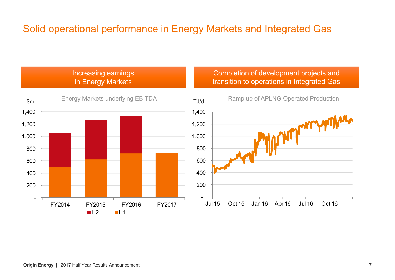## Solid operational performance in Energy Markets and Integrated Gas

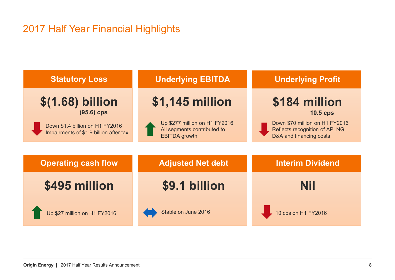#### 2017 Half Year Financial Highlights

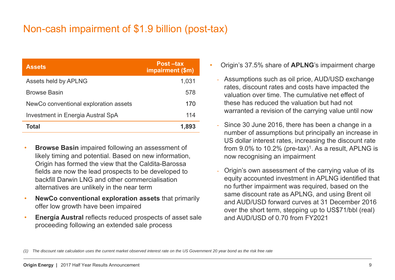#### Non-cash impairment of \$1.9 billion (post-tax)

| <b>Assets</b>                            | Post-tax<br>impairment (\$m) |
|------------------------------------------|------------------------------|
| Assets held by APLNG                     | 1,031                        |
| <b>Browse Basin</b>                      | 578                          |
| NewCo conventional exploration assets    | 170                          |
| <b>Investment in Energia Austral SpA</b> | 114                          |
| <b>Total</b>                             | 1,893                        |

- • **Browse Basin** impaired following an assessment of likely timing and potential. Based on new information, Origin has formed the view that the Caldita-Barossa fields are now the lead prospects to be developed to backfill Darwin LNG and other commercialisation alternatives are unlikely in the near term
- • **NewCo conventional exploration assets** that primarily offer low growth have been impaired
- • **Energía Austral** reflects reduced prospects of asset sale proceeding following an extended sale process
- • Origin's 37.5% share of **APLNG**'s impairment charge
	- Assumptions such as oil price, AUD/USD exchange rates, discount rates and costs have impacted the valuation over time. The cumulative net effect of these has reduced the valuation but had not warranted a revision of the carrying value until now
	- Since 30 June 2016, there has been a change in a number of assumptions but principally an increase in US dollar interest rates, increasing the discount rate from  $9.0\%$  to 10.2% (pre-tax)<sup>1</sup>. As a result, APLNG is now recognising an impairment
	- Origin's own assessment of the carrying value of its equity accounted investment in APLNG identified that no further impairment was required, based on the same discount rate as APLNG, and using Brent oil and AUD/USD forward curves at 31 December 2016 over the short term, stepping up to US\$71/bbl (real) and AUD/USD of 0.70 from FY2021

*<sup>(1)</sup> The discount rate calculation uses the current market observed interest rate on the US Government 20 year bond as the risk free rate*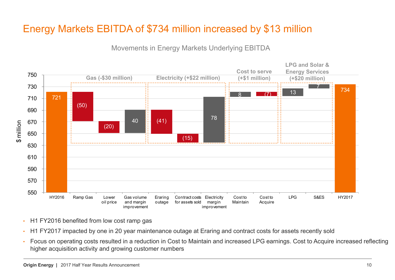## Energy Markets EBITDA of \$734 million increased by \$13 million

Movements in Energy Markets Underlying EBITDA



- •H1 FY2016 benefited from low cost ramp gas
- •H1 FY2017 impacted by one in 20 year maintenance outage at Eraring and contract costs for assets recently sold
- • Focus on operating costs resulted in a reduction in Cost to Maintain and increased LPG earnings. Cost to Acquire increased reflecting higher acquisition activity and growing customer numbers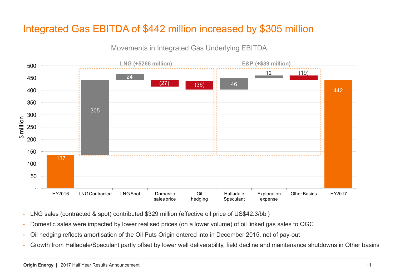## Integrated Gas EBITDA of \$442 million increased by \$305 million



Movements in Integrated Gas Underlying EBITDA

- •LNG sales (contracted & spot) contributed \$329 million (effective oil price of US\$42.3/bbl)
- •Domestic sales were impacted by lower realised prices (on a lower volume) of oil linked gas sales to QGC
- •Oil hedging reflects amortisation of the Oil Puts Origin entered into in December 2015, net of pay-out
- •Growth from Halladale/Speculant partly offset by lower well deliverability, field decline and maintenance shutdowns in Other basins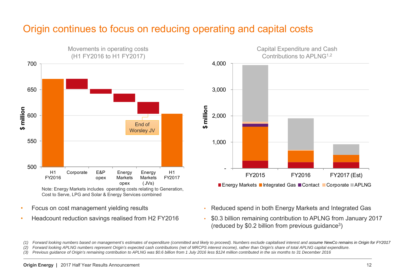#### Origin continues to focus on reducing operating and capital costs



Cost to Serve, LPG and Solar & Energy Services combined

- •Focus on cost management yielding results
- •Headcount reduction savings realised from H2 FY2016



- Reduced spend in both Energy Markets and Integrated Gas
- • \$0.3 billion remaining contribution to APLNG from January 2017 (reduced by \$0.2 billion from previous guidance3)

*(1) Forward looking numbers based on management's estimates of expenditure (committed and likely to proceed). Numbers exclude capitalised interest and assume NewCo remains in Origin for FY2017*

*(2) Forward looking APLNG numbers represent Origin's expected cash contributions (net of MRCPS interest income), rather than Origin's share of total APLNG capital expenditure.*

*(3) Previous guidance of Origin's remaining contribution to APLNG was \$0.6 billion from 1 July 2016 less \$124 million contributed in the six months to 31 December 2016*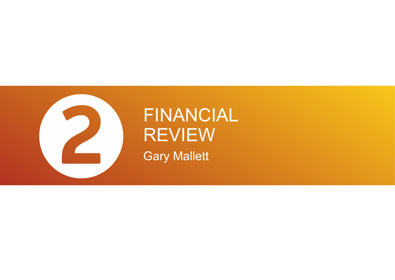

# FINANCIAL REVIEW Gary Mallett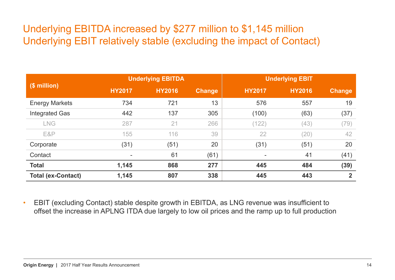#### Underlying EBITDA increased by \$277 million to \$1,145 million Underlying EBIT relatively stable (excluding the impact of Contact)

|                           |               | <b>Underlying EBITDA</b> |               | <b>Underlying EBIT</b> |               |                |  |
|---------------------------|---------------|--------------------------|---------------|------------------------|---------------|----------------|--|
| (\$ million)              | <b>HY2017</b> | <b>HY2016</b>            | <b>Change</b> | <b>HY2017</b>          | <b>HY2016</b> | <b>Change</b>  |  |
| <b>Energy Markets</b>     | 734           | 721                      | 13            | 576                    | 557           | 19             |  |
| <b>Integrated Gas</b>     | 442           | 137                      | 305           | (100)                  | (63)          | (37)           |  |
| <b>LNG</b>                | 287           | 21                       | 266           | (122)                  | (43)          | (79)           |  |
| E&P                       | 155           | 116                      | 39            | 22                     | (20)          | 42             |  |
| Corporate                 | (31)          | (51)                     | 20            | (31)                   | (51)          | 20             |  |
| Contact                   |               | 61                       | (61)          |                        | 41            | (41)           |  |
| <b>Total</b>              | 1,145         | 868                      | 277           | 445                    | 484           | (39)           |  |
| <b>Total (ex-Contact)</b> | 1,145         | 807                      | 338           | 445                    | 443           | $\overline{2}$ |  |

• EBIT (excluding Contact) stable despite growth in EBITDA, as LNG revenue was insufficient to offset the increase in APLNG ITDA due largely to low oil prices and the ramp up to full production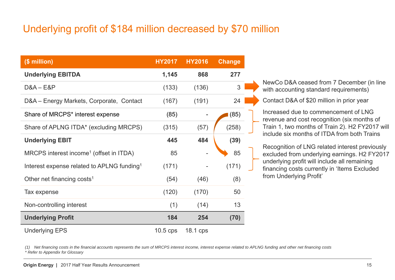## Underlying profit of \$184 million decreased by \$70 million

| (\$ million)                                           | <b>HY2017</b> | <b>HY2016</b> | <b>Change</b> |  |
|--------------------------------------------------------|---------------|---------------|---------------|--|
| <b>Underlying EBITDA</b>                               | 1,145         | 868           | 277           |  |
| $D&A - E&P$                                            | (133)         | (136)         | 3             |  |
| D&A - Energy Markets, Corporate, Contact               | (167)         | (191)         | 24            |  |
| Share of MRCPS* interest expense                       | (85)          |               | (85)          |  |
| Share of APLNG ITDA* (excluding MRCPS)                 | (315)         | (57)          | (258)         |  |
| <b>Underlying EBIT</b>                                 | 445           | 484           | (39)          |  |
| MRCPS interest income <sup>1</sup> (offset in ITDA)    | 85            |               | 85            |  |
| Interest expense related to APLNG funding <sup>1</sup> | (171)         |               | (171)         |  |
| Other net financing costs <sup>1</sup>                 | (54)          | (46)          | (8)           |  |
| Tax expense                                            | (120)         | (170)         | 50            |  |
| Non-controlling interest                               | (1)           | (14)          | 13            |  |
| <b>Underlying Profit</b>                               | 184           | 254           | (70)          |  |
| <b>Underlying EPS</b>                                  | $10.5$ cps    | 18.1 cps      |               |  |

NewCo D&A ceased from 7 December (in line with accounting standard requirements)

Contact D&A of \$20 million in prior year

Increased due to commencement of LNG revenue and cost recognition (six months of Train 1, two months of Train 2). H2 FY2017 will include six months of ITDA from both Trains

Recognition of LNG related interest previously excluded from underlying earnings. H2 FY2017 underlying profit will include all remaining financing costs currently in 'Items Excluded from Underlying Profit'

*(1) Net financing costs in the financial accounts represents the sum of MRCPS interest income, interest expense related to APLNG funding and other net financing costs \* Refer to Appendix for Glossary*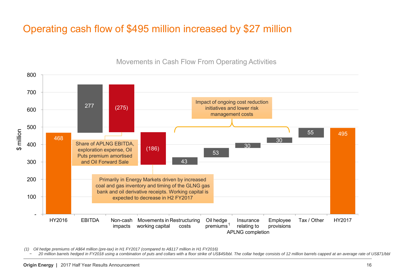## Operating cash flow of \$495 million increased by \$27 million



#### Movements in Cash Flow From Operating Activities

*(1) Oil hedge premiums of A\$64 million (pre-tax) in H1 FY2017 (compared to A\$117 million in H1 FY2016)*

*20 million barrels hedged in FY2018 using a combination of puts and collars with a floor strike of US\$45/bbl. The collar hedge consists of 12 million barrels capped at an average rate of US\$71/bbl*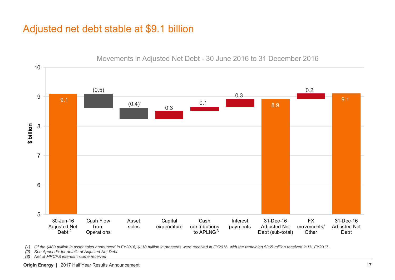#### Adjusted net debt stable at \$9.1 billion



Movements in Adjusted Net Debt - 30 June 2016 to 31 December 2016

*(1) Of the \$483 million in asset sales announced in FY2016, \$118 million in proceeds were received in FY2016, with the remaining \$365 million received in H1 FY2017.*

*(2) See Appendix for details of Adjusted Net Debt*

*(3) Net of MRCPS interest income received*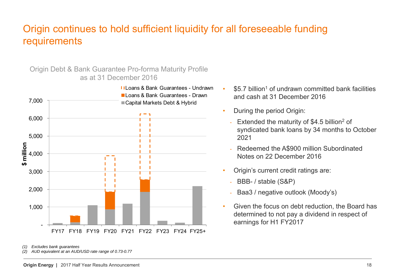#### Origin continues to hold sufficient liquidity for all foreseeable funding requirements

Origin Debt & Bank Guarantee Pro-forma Maturity Profile as at 31 December 2016



*(1) Excludes bank guarantees*

*(2) AUD equivalent at an AUD/USD rate range of 0.73-0.77*

- • $$5.7$  billion<sup>1</sup> of undrawn committed bank facilities and cash at 31 December 2016
- • During the period Origin:
	- Extended the maturity of \$4.5 billion<sup>2</sup> of syndicated bank loans by 34 months to October 2021
	- Redeemed the A\$900 million Subordinated Notes on 22 December 2016
- Origin's current credit ratings are:
	- BBB- / stable (S&P)
	- Baa3 / negative outlook (Moody's)
- • Given the focus on debt reduction, the Board has determined to not pay a dividend in respect of earnings for H1 FY2017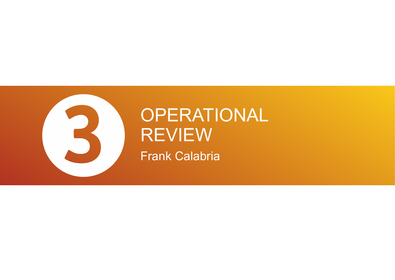

## OPERATIONAL REVIEW Frank Calabria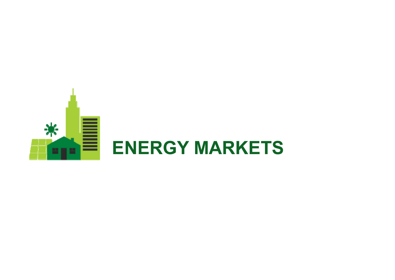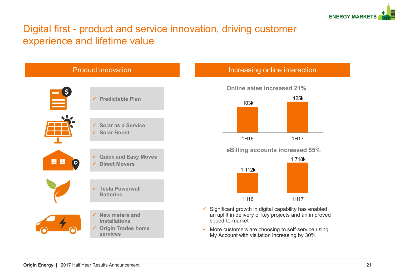

#### Digital first - product and service innovation, driving customer experience and lifetime value

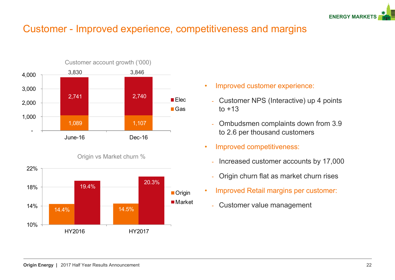

#### Customer - Improved experience, competitiveness and margins





Origin vs Market churn %

- • Improved customer experience:
	- Customer NPS (Interactive) up 4 points to  $+13$
	- Ombudsmen complaints down from 3.9 to 2.6 per thousand customers
- • Improved competitiveness:
	- -Increased customer accounts by 17,000
	- Origin churn flat as market churn rises
- • Improved Retail margins per customer:
	- -Customer value management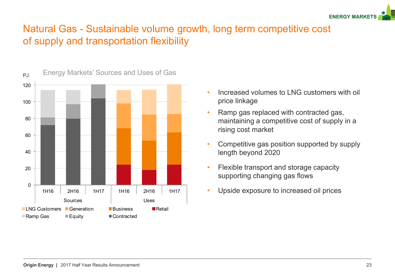

#### Natural Gas - Sustainable volume growth, long term competitive cost of supply and transportation flexibility



- • Increased volumes to LNG customers with oil price linkage
- • Ramp gas replaced with contracted gas, maintaining a competitive cost of supply in a rising cost market
- • Competitive gas position supported by supply length beyond 2020
- • Flexible transport and storage capacity supporting changing gas flows
- •Upside exposure to increased oil prices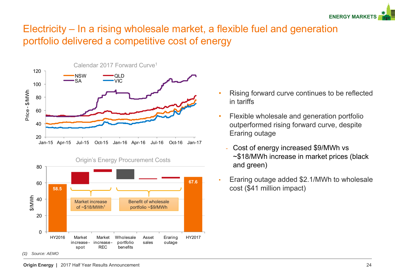

#### Electricity – In a rising wholesale market, a flexible fuel and generation portfolio delivered a competitive cost of energy





- • Rising forward curve continues to be reflected in tariffs
- • Flexible wholesale and generation portfolio outperformed rising forward curve, despite Eraring outage
	- Cost of energy increased \$9/MWh vs ~\$18/MWh increase in market prices (black and green)
- • Eraring outage added \$2.1/MWh to wholesale cost (\$41 million impact)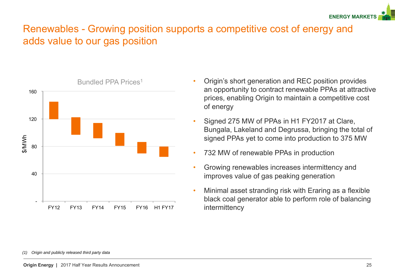

#### Renewables - Growing position supports a competitive cost of energy and adds value to our gas position



- • Origin's short generation and REC position provides an opportunity to contract renewable PPAs at attractive prices, enabling Origin to maintain a competitive cost of energy
- • Signed 275 MW of PPAs in H1 FY2017 at Clare, Bungala, Lakeland and Degrussa, bringing the total of signed PPAs yet to come into production to 375 MW
- •732 MW of renewable PPAs in production
- • Growing renewables increases intermittency and improves value of gas peaking generation
- • Minimal asset stranding risk with Eraring as a flexible black coal generator able to perform role of balancing intermittency

*<sup>(1)</sup> Origin and publicly released third party data*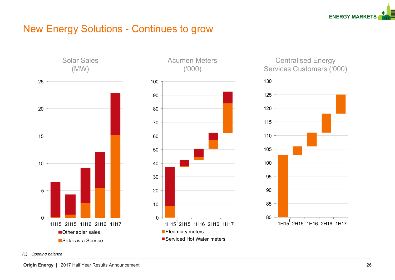

#### New Energy Solutions - Continues to grow







Centralised Energy Services Customers ('000)



*(1) Opening balance*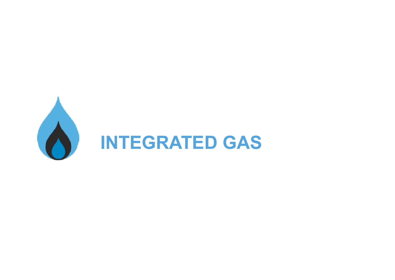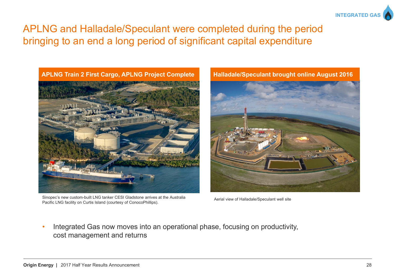

#### APLNG and Halladale/Speculant were completed during the period bringing to an end a long period of significant capital expenditure



Sinopec's new custom-built LNG tanker CESI Gladstone arrives at the Australia Sinopec's new custom-built LNG tanker CESI Gladstone arrives at the Australia<br>Pacific LNG facility on Curtis Island (courtesy of ConocoPhillips).



• Integrated Gas now moves into an operational phase, focusing on productivity, cost management and returns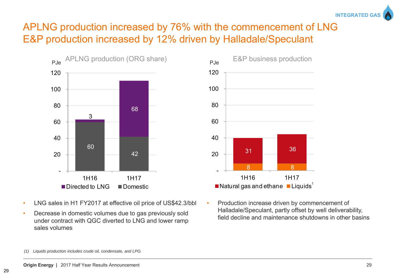#### APLNG production increased by 76% with the commencement of LNG E&P production increased by 12% driven by Halladale/Speculant **INTEGRATED G**



- •LNG sales in H1 FY2017 at effective oil price of US\$42.3/bbl
- • Decrease in domestic volumes due to gas previously sold under contract with QGC diverted to LNG and lower ramp sales volumes



• Production increase driven by commencement of Halladale/Speculant, partly offset by well deliverability, field decline and maintenance shutdowns in other basins

*<sup>(1)</sup> Liquids production includes crude oil, condensate, and LPG.*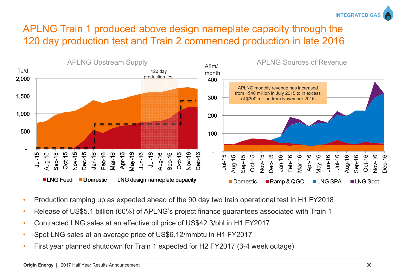

## APLNG Train 1 produced above design nameplate capacity through the 120 day production test and Train 2 commenced production in late 2016



- •Production ramping up as expected ahead of the 90 day two train operational test in H1 FY2018
- •Release of US\$5.1 billion (60%) of APLNG's project finance guarantees associated with Train 1
- •Contracted LNG sales at an effective oil price of US\$42.3/bbl in H1 FY2017
- •Spot LNG sales at an average price of US\$6.12/mmbtu in H1 FY2017
- •First year planned shutdown for Train 1 expected for H2 FY2017 (3-4 week outage)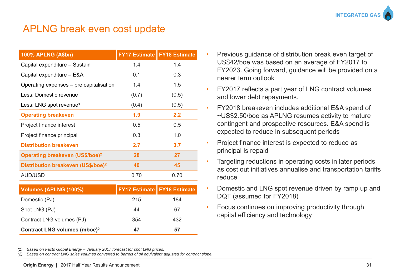

#### APLNG break even cost update

| <b>100% APLNG (A\$bn)</b>                      |       | <b>FY17 Estimate   FY18 Estimate</b> |
|------------------------------------------------|-------|--------------------------------------|
| Capital expenditure - Sustain                  | 1.4   | 1.4                                  |
| Capital expenditure - E&A                      | 0.1   | 0.3                                  |
| Operating expenses – pre capitalisation        | 1.4   | 1.5                                  |
| Less: Domestic revenue                         | (0.7) | (0.5)                                |
| Less: LNG spot revenue <sup>1</sup>            | (0.4) | (0.5)                                |
| <b>Operating breakeven</b>                     | 1.9   | 2.2                                  |
| Project finance interest                       | 0.5   | 0.5                                  |
| Project finance principal                      | 0.3   | 1.0                                  |
| <b>Distribution breakeven</b>                  | 2.7   | 3.7                                  |
| Operating breakeven (US\$/boe) <sup>2</sup>    | 28    | 27                                   |
| Distribution breakeven (US\$/boe) <sup>2</sup> | 40    | 45                                   |
| <b>AUD/USD</b>                                 | 0.70  | 0.70                                 |
|                                                |       |                                      |
| Volumes (APLNG (100%)                          |       | <b>FY17 Estimate   FY18 Estimate</b> |
| Domestic (PJ)                                  | 215   | 184                                  |
| Spot LNG (PJ)                                  | 44    | 67                                   |

- Previous guidance of distribution break even target of US\$42/boe was based on an average of FY2017 to FY2023. Going forward, guidance will be provided on a nearer term outlook
- • FY2017 reflects a part year of LNG contract volumes and lower debt repayments.
- • FY2018 breakeven includes additional E&A spend of ~US\$2.50/boe as APLNG resumes activity to mature contingent and prospective resources. E&A spend is expected to reduce in subsequent periods
- • Project finance interest is expected to reduce as principal is repaid
- • Targeting reductions in operating costs in later periods as cost out initiatives annualise and transportation tariffs reduce
- • Domestic and LNG spot revenue driven by ramp up and DQT (assumed for FY2018)
- Focus continues on improving productivity through capital efficiency and technology

*(1) Based on Facts Global Energy – January 2017 forecast for spot LNG prices.*

Contract LNG volumes (PJ) 354 432

**Contract LNG volumes (mboe)2 47 57**

*(2) Based on contract LNG sales volumes converted to barrels of oil equivalent adjusted for contract slope.*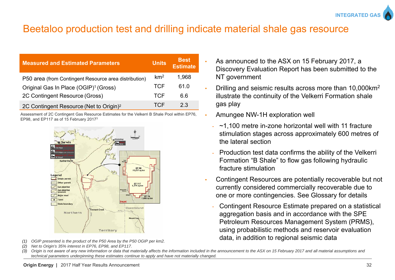

#### Beetaloo production test and drilling indicate material shale gas resource

| <b>Measured and Estimated Parameters</b>              | <b>Units</b>    | <b>Best</b><br>Estimate |
|-------------------------------------------------------|-----------------|-------------------------|
| P50 area (from Contingent Resource area distribution) | km <sup>2</sup> | 1,968                   |
| Original Gas In Place (OGIP) <sup>1</sup> (Gross)     | TCF             | 61.0                    |
| 2C Contingent Resource (Gross)                        | TCF             | 66                      |
| 2C Contingent Resource (Net to Origin) <sup>2</sup>   | TCF             | 23                      |

Assessment of 2C Contingent Gas Resource Estimates for the Velkerri B Shale Pool within EP76, EP98, and EP117 as of 15 February 20173



- *(1) OGIP presented is the product of the P50 Area by the P50 OGIP per km2.*
- *(2) Net to Origin's 35% interest in EP76, EP98, and EP117.*
- • As announced to the ASX on 15 February 2017, a Discovery Evaluation Report has been submitted to the NT government
- Drilling and seismic results across more than 10,000km2 illustrate the continuity of the Velkerri Formation shale gas play
- Amungee NW-1H exploration well
	- ~1,100 metre in-zone horizontal well with 11 fracture stimulation stages across approximately 600 metres of the lateral section
	- Production test data confirms the ability of the Velkerri Formation "B Shale" to flow gas following hydraulic fracture stimulation
- • Contingent Resources are potentially recoverable but not currently considered commercially recoverable due to one or more contingencies. See Glossary for details
	- Contingent Resource Estimate prepared on a statistical aggregation basis and in accordance with the SPE Petroleum Resources Management System (PRMS), using probabilistic methods and reservoir evaluation data, in addition to regional seismic data

*(3) Origin is not aware of any new information or data that materially affects the information included in the announcement to the ASX on 15 February 2017 and all material assumptions and technical parameters underpinning these estimates continue to apply and have not materially changed.*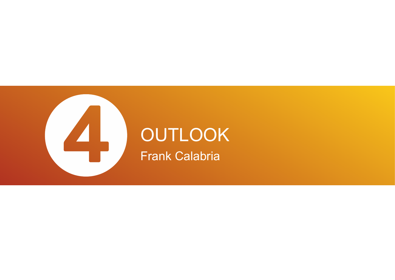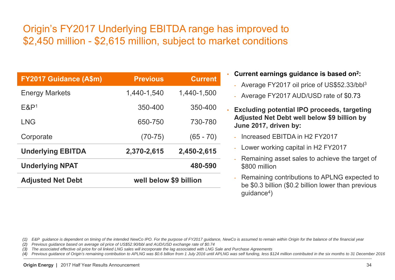## Origin's FY2017 Underlying EBITDA range has improved to \$2,450 million - \$2,615 million, subject to market conditions

| <b>FY2017 Guidance (A\$m)</b> | <b>Previous</b>        | <b>Current</b> |  |
|-------------------------------|------------------------|----------------|--|
| <b>Energy Markets</b>         | 1,440-1,540            | 1.440-1,500    |  |
| $E$ &P <sup>1</sup>           | 350-400                | 350-400        |  |
| <b>LNG</b>                    | 650-750                | 730-780        |  |
| Corporate                     | $(70-75)$              | $(65 - 70)$    |  |
| <b>Underlying EBITDA</b>      | 2,370-2,615            | 2,450-2,615    |  |
| <b>Underlying NPAT</b>        |                        | 480-590        |  |
| <b>Adjusted Net Debt</b>      | well below \$9 billion |                |  |
|                               |                        |                |  |

- **Current earnings guidance is based on2:**
	- Average FY2017 oil price of US\$52.33/bbl3
	- Average FY2017 AUD/USD rate of \$0.73

• **Excluding potential IPO proceeds, targeting Adjusted Net Debt well below \$9 billion by June 2017, driven by:**

- Increased EBITDA in H2 FY2017
- Lower working capital in H2 FY2017
- Remaining asset sales to achieve the target of \$800 million
- Remaining contributions to APLNG expected to be \$0.3 billion (\$0.2 billion lower than previous  $quidance<sup>4</sup>$ )

*(1) E&P guidance is dependent on timing of the intended NewCo IPO. For the purpose of FY2017 guidance, NewCo is assumed to remain within Origin for the balance of the financial year*

*(2) Previous guidance based on average oil price of US\$52.90/bbl and AUD/USD exchange rate of \$0.74*

*(3) The associated effective oil price for oil linked LNG sales will incorporate the lag associated with LNG Sale and Purchase Agreements*

Previous quidance of Origin's remaining contribution to APLNG was \$0.6 billion from 1 July 2016 until APLNG was self funding, less \$124 million contributed in the six months to 31 December 2016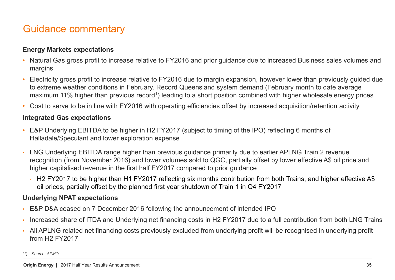#### Guidance commentary

#### **Energy Markets expectations**

- • Natural Gas gross profit to increase relative to FY2016 and prior guidance due to increased Business sales volumes and margins
- • Electricity gross profit to increase relative to FY2016 due to margin expansion, however lower than previously guided due to extreme weather conditions in February. Record Queensland system demand (February month to date average maximum 11% higher than previous record<sup>1</sup>) leading to a short position combined with higher wholesale energy prices
- •Cost to serve to be in line with FY2016 with operating efficiencies offset by increased acquisition/retention activity

#### **Integrated Gas expectations**

- • E&P Underlying EBITDA to be higher in H2 FY2017 (subject to timing of the IPO) reflecting 6 months of Halladale/Speculant and lower exploration expense
- • LNG Underlying EBITDA range higher than previous guidance primarily due to earlier APLNG Train 2 revenue recognition (from November 2016) and lower volumes sold to QGC, partially offset by lower effective A\$ oil price and higher capitalised revenue in the first half FY2017 compared to prior guidance
	- H2 FY2017 to be higher than H1 FY2017 reflecting six months contribution from both Trains, and higher effective A\$ oil prices, partially offset by the planned first year shutdown of Train 1 in Q4 FY2017

#### **Underlying NPAT expectations**

- •E&P D&A ceased on 7 December 2016 following the announcement of intended IPO
- •Increased share of ITDA and Underlying net financing costs in H2 FY2017 due to a full contribution from both LNG Trains
- • All APLNG related net financing costs previously excluded from underlying profit will be recognised in underlying profit from H2 FY2017

*(1) Source: AEMO*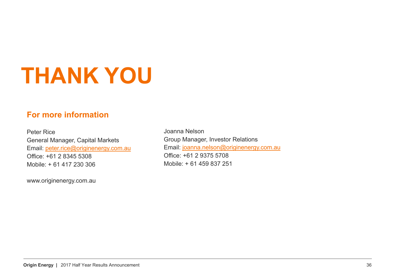# **THANK YOU**

#### **For more information**

Peter RiceGeneral Manager, Capital Markets Email: peter.rice@originenergy.com.au Office: +61 2 8345 5308Mobile: + 61 417 230 306

www.originenergy.com.au

Joanna NelsonGroup Manager, Investor Relations Email: joanna.nelson@originenergy.com.au Office: +61 2 9375 5708Mobile: + 61 459 837 251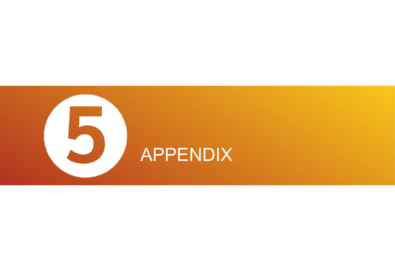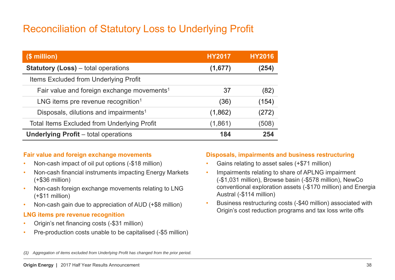## Reconciliation of Statutory Loss to Underlying Profit

| $$$ million)                                           | <b>HY2017</b> | <b>HY2016</b> |
|--------------------------------------------------------|---------------|---------------|
| <b>Statutory (Loss)</b> – total operations             | (1,677)       | (254)         |
| Items Excluded from Underlying Profit                  |               |               |
| Fair value and foreign exchange movements <sup>1</sup> | 37            | (82)          |
| LNG items pre revenue recognition <sup>1</sup>         | (36)          | (154)         |
| Disposals, dilutions and impairments <sup>1</sup>      | (1,862)       | (272)         |
| <b>Total Items Excluded from Underlying Profit</b>     | (1,861)       | (508)         |
| <b>Underlying Profit</b> – total operations            | 184           | 254           |

#### **Fair value and foreign exchange movements**

- •Non-cash impact of oil put options (-\$18 million)
- • Non-cash financial instruments impacting Energy Markets (+\$36 million)
- • Non-cash foreign exchange movements relating to LNG (+\$11 million)
- •Non-cash gain due to appreciation of AUD (+\$8 million)

#### **LNG items pre revenue recognition**

- •Origin's net financing costs (-\$31 million)
- •Pre-production costs unable to be capitalised (-\$5 million)

#### **Disposals, impairments and business restructuring**

- •Gains relating to asset sales (+\$71 million)
- • Impairments relating to share of APLNG impairment (-\$1,031 million), Browse basin (-\$578 million), NewCo conventional exploration assets (-\$170 million) and Energia Austral (-\$114 million)
- • Business restructuring costs (-\$40 million) associated with Origin's cost reduction programs and tax loss write offs

*(1) Aggregation of items excluded from Underlying Profit has changed from the prior period.*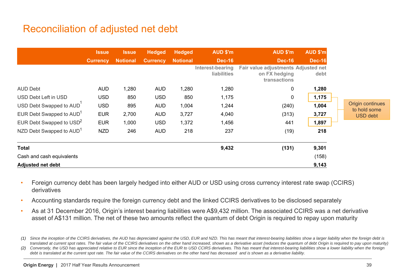#### Reconciliation of adjusted net debt

|                                      | <b>Issue</b>    | <b>Issue</b>    | <b>Hedged</b>   | <b>Hedged</b>   | AUD \$'m                               | AUD \$'m                                                             | AUD \$'m      |
|--------------------------------------|-----------------|-----------------|-----------------|-----------------|----------------------------------------|----------------------------------------------------------------------|---------------|
|                                      | <b>Currency</b> | <b>Notional</b> | <b>Currency</b> | <b>Notional</b> | <b>Dec-16</b>                          | <b>Dec-16</b>                                                        | <b>Dec-16</b> |
|                                      |                 |                 |                 |                 | Interest-bearing<br><b>liabilities</b> | Fair value adjustments Adjusted net<br>on FX hedging<br>transactions | debt          |
| <b>AUD Debt</b>                      | <b>AUD</b>      | 1,280           | <b>AUD</b>      | 1,280           | 1,280                                  | 0                                                                    | 1,280         |
| USD Debt Left in USD                 | <b>USD</b>      | 850             | <b>USD</b>      | 850             | 1,175                                  | 0                                                                    | 1,175         |
| USD Debt Swapped to AUD              | <b>USD</b>      | 895             | <b>AUD</b>      | 1,004           | 1,244                                  | (240)                                                                | 1,004         |
| EUR Debt Swapped to AUD <sup>1</sup> | <b>EUR</b>      | 2,700           | <b>AUD</b>      | 3,727           | 4,040                                  | (313)                                                                | 3,727         |
| EUR Debt Swapped to $USD2$           | <b>EUR</b>      | 1,000           | <b>USD</b>      | 1,372           | 1,456                                  | 441                                                                  | 1,897         |
| NZD Debt Swapped to AUD <sup>1</sup> | <b>NZD</b>      | 246             | <b>AUD</b>      | 218             | 237                                    | (19)                                                                 | 218           |
| <b>Total</b>                         |                 |                 |                 |                 | 9,432                                  | (131)                                                                | 9,301         |
| Cash and cash equivalents            |                 |                 |                 |                 |                                        |                                                                      | (158)         |
| <b>Adjusted net debt</b>             |                 |                 |                 |                 |                                        |                                                                      | 9,143         |

- • Foreign currency debt has been largely hedged into either AUD or USD using cross currency interest rate swap (CCIRS) derivatives
- •Accounting standards require the foreign currency debt and the linked CCIRS derivatives to be disclosed separately
- • As at 31 December 2016, Origin's interest bearing liabilities were A\$9,432 million. The associated CCIRS was a net derivative asset of A\$131 million. The net of these two amounts reflect the quantum of debt Origin is required to repay upon maturity

*<sup>(1)</sup> Since the inception of the CCIRS derivatives, the AUD has depreciated against the USD, EUR and NZD. This has meant that interest-bearing liabilities show a larger liability when the foreign debt is*  translated at current spot rates. The fair value of the CCIRS derivatives on the other hand increased, shown as a derivative asset (reduces the quantum of debt Origin is required to pay upon maturity)

<sup>(2)</sup> Conversely, the USD has appreciated relative to EUR since the inception of the EUR to USD CCIRS derivatives. This has meant that interest-bearing liabilities show a lower liability when the foreign *debt is translated at the current spot rate. The fair value of the CCIRS derivatives on the other hand has decreased and is shown as a derivative liability.*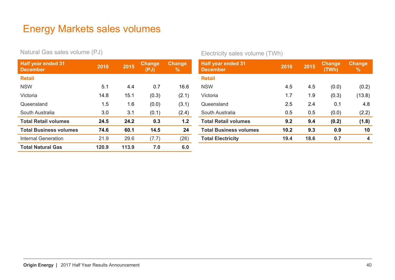#### Energy Markets sales volumes

Natural Gas sales volume (PJ)

| <b>Half year ended 31</b><br><b>December</b> | 2016  | 2015  | <b>Change</b><br>(PJ) | <b>Change</b><br>℅ |
|----------------------------------------------|-------|-------|-----------------------|--------------------|
| <b>Retail</b>                                |       |       |                       |                    |
| <b>NSW</b>                                   | 5.1   | 4.4   | 0.7                   | 16.6               |
| Victoria                                     | 14.8  | 15.1  | (0.3)                 | (2.1)              |
| Queensland                                   | 1.5   | 1.6   | (0.0)                 | (3.1)              |
| South Australia                              | 3.0   | 3.1   | (0.1)                 | (2.4)              |
| <b>Total Retail volumes</b>                  | 24.5  | 24.2  | 0.3                   | 1.2                |
| <b>Total Business volumes</b>                | 74.6  | 60.1  | 14.5                  | 24                 |
| <b>Internal Generation</b>                   | 21.9  | 29.6  | (7.7)                 | (26)               |
| <b>Total Natural Gas</b>                     | 120.9 | 113.9 | 7.0                   | 6.0                |

Electricity sales volume (TWh)

| <b>Half year ended 31</b><br><b>December</b> | 2016 | 2015 | Change<br>(TWh) | <b>Change</b><br>% |
|----------------------------------------------|------|------|-----------------|--------------------|
| <b>Retail</b>                                |      |      |                 |                    |
| <b>NSW</b>                                   | 4.5  | 4.5  | (0.0)           | (0.2)              |
| Victoria                                     | 1.7  | 1.9  | (0.3)           | (13.8)             |
| Queensland                                   | 2.5  | 2.4  | 0.1             | 4.8                |
| South Australia                              | 0.5  | 0.5  | (0.0)           | (2.2)              |
| <b>Total Retail volumes</b>                  | 9.2  | 9.4  | (0.2)           | (1.8)              |
| <b>Total Business volumes</b>                | 10.2 | 9.3  | 0.9             | 10                 |
| <b>Total Electricity</b>                     | 19.4 | 18.6 | 0.7             | 4                  |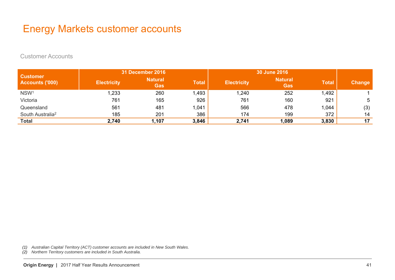#### Energy Markets customer accounts

Customer Accounts

|                                    |                    | <b>31 December 2016</b>      |              | 30 June 2016       |                              |              |               |
|------------------------------------|--------------------|------------------------------|--------------|--------------------|------------------------------|--------------|---------------|
| <b>Customer</b><br>Accounts ('000) | <b>Electricity</b> | <b>Natural</b><br><b>Gas</b> | <b>Total</b> | <b>Electricity</b> | <b>Natural</b><br><b>Gas</b> | <b>Total</b> | <b>Change</b> |
| NSW <sup>1</sup>                   | 1,233              | 260                          | 1,493        | ,240               | 252                          | 1,492        |               |
| Victoria                           | 761                | 165                          | 926          | 761                | 160                          | 921          | 5             |
| Queensland                         | 561                | 481                          | 1,041        | 566                | 478                          | 1,044        | (3)           |
| South Australia <sup>2</sup>       | 185                | 201                          | 386          | 174                | 199                          | 372          | 14            |
| <b>Total</b>                       | 2,740              | 1,107                        | 3,846        | 2,741              | 1,089                        | 3,830        | 17            |

*(1) Australian Capital Territory (ACT) customer accounts are included in New South Wales.*

*(2) Northern Territory customers are included in South Australia.*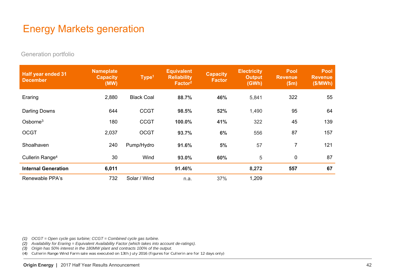## Energy Markets generation

Generation portfolio

| <b>Half year ended 31</b><br><b>December</b> | <b>Nameplate</b><br><b>Capacity</b><br>(MW) | Type <sup>1</sup> | <b>Equivalent</b><br><b>Reliability</b><br>Factor <sup>2</sup> | <b>Capacity</b><br><b>Factor</b> | <b>Electricity</b><br><b>Output</b><br>(GWh) | <b>Pool</b><br><b>Revenue</b><br>\$m\$ | <b>Pool</b><br><b>Revenue</b><br>(\$/MWh) |
|----------------------------------------------|---------------------------------------------|-------------------|----------------------------------------------------------------|----------------------------------|----------------------------------------------|----------------------------------------|-------------------------------------------|
| Eraring                                      | 2,880                                       | <b>Black Coal</b> | 88.7%                                                          | 46%                              | 5,841                                        | 322                                    | 55                                        |
| Darling Downs                                | 644                                         | <b>CCGT</b>       | 98.5%                                                          | 52%                              | 1,490                                        | 95                                     | 64                                        |
| Osborne <sup>3</sup>                         | 180                                         | <b>CCGT</b>       | 100.0%                                                         | 41%                              | 322                                          | 45                                     | 139                                       |
| <b>OCGT</b>                                  | 2,037                                       | <b>OCGT</b>       | 93.7%                                                          | 6%                               | 556                                          | 87                                     | 157                                       |
| Shoalhaven                                   | 240                                         | Pump/Hydro        | 91.6%                                                          | 5%                               | 57                                           | $\overline{7}$                         | 121                                       |
| Cullerin Range <sup>4</sup>                  | 30                                          | Wind              | 93.0%                                                          | 60%                              | 5                                            | 0                                      | 87                                        |
| <b>Internal Generation</b>                   | 6,011                                       |                   | 91.46%                                                         |                                  | 8,272                                        | 557                                    | 67                                        |
| Renewable PPA's                              | 732                                         | Solar / Wind      | n.a.                                                           | 37%                              | 1,209                                        |                                        |                                           |

*(1) OCGT = Open cycle gas turbine; CCGT = Combined cycle gas turbine.*

*(2) Availability for Eraring = Equivalent Availability Factor (which takes into account de-ratings).*

*(3) Origin has 50% interest in the 180MW plant and contracts 100% of the output.*

*(4) Cullerin Range Wind Farm sale was executed on 13th July 2016 (figures for Cullerin are for 12 days only)*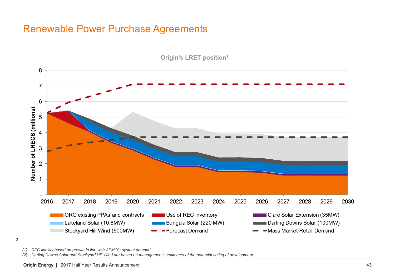#### Renewable Power Purchase Agreements



**Origin's LRET position1**

2

*(1) REC liability based on growth in line with AEMO's system demand*

*(2) Darling Downs Solar and Stockyard Hill Wind are based on management's estimates of the potential timing of development*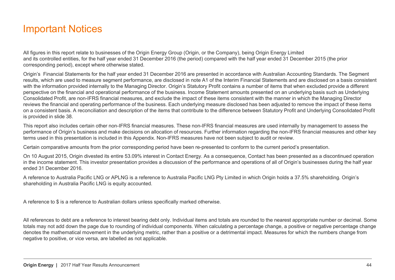#### Important Notices

All figures in this report relate to businesses of the Origin Energy Group (Origin, or the Company), being Origin Energy Limited and its controlled entities, for the half year ended 31 December 2016 (the period) compared with the half year ended 31 December 2015 (the prior corresponding period), except where otherwise stated.

Origin's Financial Statements for the half year ended 31 December 2016 are presented in accordance with Australian Accounting Standards. The Segment results, which are used to measure segment performance, are disclosed in note A1 of the Interim Financial Statements and are disclosed on a basis consistent with the information provided internally to the Managing Director. Origin's Statutory Profit contains a number of items that when excluded provide a different perspective on the financial and operational performance of the business. Income Statement amounts presented on an underlying basis such as Underlying Consolidated Profit, are non-IFRS financial measures, and exclude the impact of these items consistent with the manner in which the Managing Director reviews the financial and operating performance of the business. Each underlying measure disclosed has been adjusted to remove the impact of these items on a consistent basis. A reconciliation and description of the items that contribute to the difference between Statutory Profit and Underlying Consolidated Profit is provided in slide 38.

This report also includes certain other non-IFRS financial measures. These non-IFRS financial measures are used internally by management to assess the performance of Origin's business and make decisions on allocation of resources. Further information regarding the non-IFRS financial measures and other key terms used in this presentation is included in this Appendix. Non-IFRS measures have not been subject to audit or review.

Certain comparative amounts from the prior corresponding period have been re-presented to conform to the current period's presentation.

On 10 August 2015, Origin divested its entire 53.09% interest in Contact Energy. As a consequence, Contact has been presented as a discontinued operation in the income statement. This investor presentation provides a discussion of the performance and operations of all of Origin's businesses during the half year ended 31 December 2016.

A reference to Australia Pacific LNG or APLNG is a reference to Australia Pacific LNG Pty Limited in which Origin holds a 37.5% shareholding. Origin's shareholding in Australia Pacific LNG is equity accounted.

A reference to \$ is a reference to Australian dollars unless specifically marked otherwise.

All references to debt are a reference to interest bearing debt only. Individual items and totals are rounded to the nearest appropriate number or decimal. Some totals may not add down the page due to rounding of individual components. When calculating a percentage change, a positive or negative percentage change denotes the mathematical movement in the underlying metric, rather than a positive or a detrimental impact. Measures for which the numbers change from negative to positive, or vice versa, are labelled as not applicable.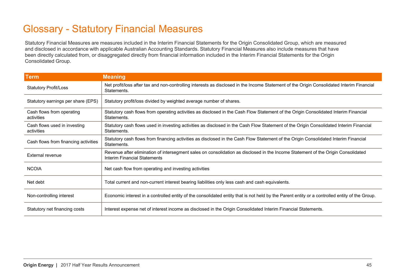## Glossary - Statutory Financial Measures

Statutory Financial Measures are measures included in the Interim Financial Statements for the Origin Consolidated Group, which are measured and disclosed in accordance with applicable Australian Accounting Standards. Statutory Financial Measures also include measures that have been directly calculated from, or disaggregated directly from financial information included in the Interim Financial Statements for the Origin Consolidated Group.

| <b>Term</b>                                | <b>Meaning</b>                                                                                                                                                          |
|--------------------------------------------|-------------------------------------------------------------------------------------------------------------------------------------------------------------------------|
| <b>Statutory Profit/Loss</b>               | Net profit/loss after tax and non-controlling interests as disclosed in the Income Statement of the Origin Consolidated Interim Financial<br>Statements.                |
| Statutory earnings per share (EPS)         | Statutory profit/loss divided by weighted average number of shares.                                                                                                     |
| Cash flows from operating<br>activities    | Statutory cash flows from operating activities as disclosed in the Cash Flow Statement of the Origin Consolidated Interim Financial<br>Statements.                      |
| Cash flows used in investing<br>activities | Statutory cash flows used in investing activities as disclosed in the Cash Flow Statement of the Origin Consolidated Interim Financial<br>Statements.                   |
| Cash flows from financing activities       | Statutory cash flows from financing activities as disclosed in the Cash Flow Statement of the Origin Consolidated Interim Financial<br>Statements.                      |
| External revenue                           | Revenue after elimination of intersegment sales on consolidation as disclosed in the Income Statement of the Origin Consolidated<br><b>Interim Financial Statements</b> |
| <b>NCOIA</b>                               | Net cash flow from operating and investing activities                                                                                                                   |
| Net debt                                   | Total current and non-current interest bearing liabilities only less cash and cash equivalents.                                                                         |
| Non-controlling interest                   | Economic interest in a controlled entity of the consolidated entity that is not held by the Parent entity or a controlled entity of the Group.                          |
| Statutory net financing costs              | Interest expense net of interest income as disclosed in the Origin Consolidated Interim Financial Statements.                                                           |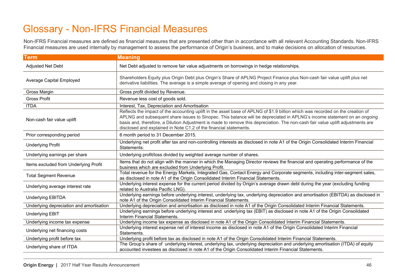#### Glossary - Non-IFRS Financial Measures

Non-IFRS Financial measures are defined as financial measures that are presented other than in accordance with all relevant Accounting Standards. Non-IFRS Financial measures are used internally by management to assess the performance of Origin's business, and to make decisions on allocation of resources.

| <b>Term</b>                              | <b>Meaning</b>                                                                                                                                                                                                                                                                                                                                                                                                                                                     |  |  |  |
|------------------------------------------|--------------------------------------------------------------------------------------------------------------------------------------------------------------------------------------------------------------------------------------------------------------------------------------------------------------------------------------------------------------------------------------------------------------------------------------------------------------------|--|--|--|
| <b>Adjusted Net Debt</b>                 | Net Debt adjusted to remove fair value adjustments on borrowings in hedge relationships.                                                                                                                                                                                                                                                                                                                                                                           |  |  |  |
| <b>Average Capital Employed</b>          | Shareholders Equity plus Origin Debt plus Origin's Share of APLNG Project Finance plus Non-cash fair value uplift plus net<br>derivative liabilities. The average is a simple average of opening and closing in any year.                                                                                                                                                                                                                                          |  |  |  |
| Gross Margin                             | Gross profit divided by Revenue.                                                                                                                                                                                                                                                                                                                                                                                                                                   |  |  |  |
| <b>Gross Profit</b>                      | Revenue less cost of goods sold.                                                                                                                                                                                                                                                                                                                                                                                                                                   |  |  |  |
| <b>ITDA</b>                              | Interest, Tax, Depreciation and Amortisation                                                                                                                                                                                                                                                                                                                                                                                                                       |  |  |  |
| Non-cash fair value uplift               | Reflects the impact of the accounting uplift in the asset base of APLNG of \$1.9 billion which was recorded on the creation of<br>APLNG and subsequent share issues to Sinopec. This balance will be depreciated in APLNG's income statement on an ongoing<br>basis and, therefore, a Dilution Adjustment is made to remove this depreciation. The non-cash fair value uplift adjustments are<br>disclosed and explained in Note C1.2 of the financial statements. |  |  |  |
| Prior corresponding period               | 6 month period to 31 December 2015.                                                                                                                                                                                                                                                                                                                                                                                                                                |  |  |  |
| <b>Underlying Profit</b>                 | Underlying net profit after tax and non-controlling interests as disclosed in note A1 of the Origin Consolidated Interim Financial<br>Statements.                                                                                                                                                                                                                                                                                                                  |  |  |  |
| Underlying earnings per share            | Underlying profit/loss divided by weighted average number of shares.                                                                                                                                                                                                                                                                                                                                                                                               |  |  |  |
| Items excluded from Underlying Profit    | Items that do not align with the manner in which the Managing Director reviews the financial and operating performance of the<br>business which are excluded from Underlying Profit.                                                                                                                                                                                                                                                                               |  |  |  |
| <b>Total Segment Revenue</b>             | Total revenue for the Energy Markets, Integrated Gas, Contact Energy and Corporate segments, including inter-segment sales,<br>as disclosed in note A1 of the Origin Consolidated Interim Financial Statements.                                                                                                                                                                                                                                                    |  |  |  |
| Underlying average interest rate         | Underlying interest expense for the current period divided by Origin's average drawn debt during the year (excluding funding<br>related to Australia Pacific LNG).                                                                                                                                                                                                                                                                                                 |  |  |  |
| <b>Underlying EBITDA</b>                 | Underlying earnings before underlying interest, underlying tax, underlying depreciation and amortisation (EBITDA) as disclosed in<br>note A1 of the Origin Consolidated Interim Financial Statements.                                                                                                                                                                                                                                                              |  |  |  |
| Underlying depreciation and amortisation | Underlying depreciation and amortisation as disclosed in note A1 of the Origin Consolidated Interim Financial Statements.                                                                                                                                                                                                                                                                                                                                          |  |  |  |
| <b>Underlying EBIT</b>                   | Underlying earnings before underlying interest and underlying tax (EBIT) as disclosed in note A1 of the Origin Consolidated<br>Interim Financial Statements.                                                                                                                                                                                                                                                                                                       |  |  |  |
| Underlying income tax expense            | Underlying income tax expense as disclosed in note A1 of the Origin Consolidated Interim Financial Statements.                                                                                                                                                                                                                                                                                                                                                     |  |  |  |
| Underlying net financing costs           | Underlying interest expense net of interest income as disclosed in note A1 of the Origin Consolidated Interim Financial<br>Statements.                                                                                                                                                                                                                                                                                                                             |  |  |  |
| Underlying profit before tax             | Underlying profit before tax as disclosed in note A1 of the Origin Consolidated Interim Financial Statements.                                                                                                                                                                                                                                                                                                                                                      |  |  |  |
| Underlying share of ITDA                 | The Group's share of underlying interest, underlying tax, underlying depreciation and underlying amortisation (ITDA) of equity<br>accounted investees as disclosed in note A1 of the Origin Consolidated Interim Financial Statements.                                                                                                                                                                                                                             |  |  |  |